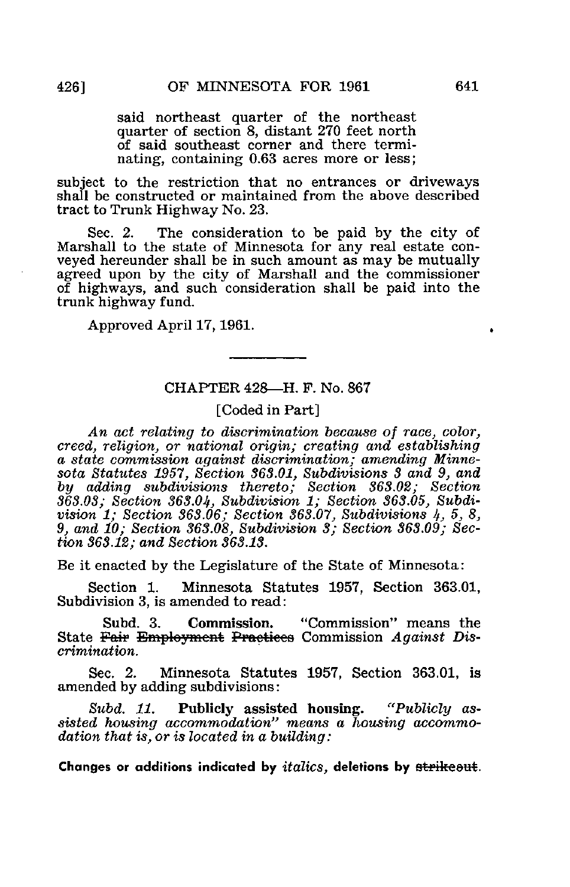said northeast quarter of the northeast quarter of section 8, distant 270 feet north of said southeast corner and there terminating, containing 0.63 acres more or less;

subject to the restriction that no entrances or driveways shall be constructed or maintained from the above described tract to Trunk Highway No. 23.

Sec. 2. The consideration to be paid by the city of Marshall to the state of Minnesota for any real estate conveyed hereunder shall be in such amount as may be mutually agreed upon by the city of Marshall and the commissioner of highways, and such consideration shall be paid into the trunk highway fund.

Approved April 17,1961.

## CHAPTER 428—H. F. No. 867

## [Coded in Part]

An act relating to discrimination because of race, color, creed, religion, or national origin; creating and establishing a state commission against discrimination; amending Minnesota Statutes 1957, Section 363.01, Subdivisions 3 and 9, and by adding subdivisions thereto; Section 363.02; Section 363.03; Section 363.0^, Subdivision 1; Section 363.05, Subdivision  $1$ ; Section 363.06; Section 363.07, Subdivisions  $4$ , 5, 8, 9, and 10; Section 363.08, Subdivision 3; Section 363.09; Section 363.12; and Section 363.13.

Be it enacted by the Legislature of the State of Minnesota:

Section 1. Minnesota Statutes 1957, Section 363.01, Subdivision 3, is amended to read:

Subd. 3. Commission. "Commission" means the State Fair Employment Practices Commission Against Discrimination.

Sec. 2. Minnesota Statutes 1957, Section 363.01, is amended by adding subdivisions:

Subd. 11. Publicly assisted housing. "Publicly assisted housing accommodation" means a housing accommodation that is, or is located in a building: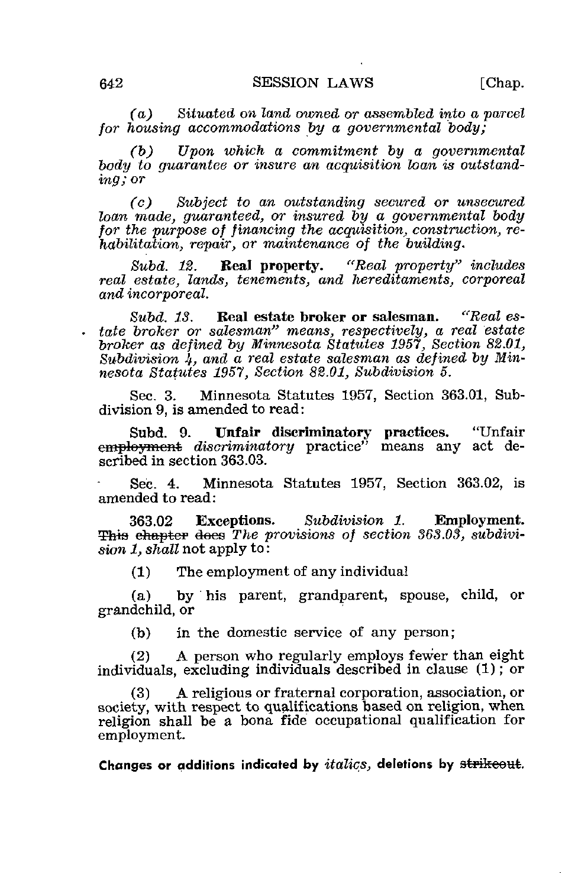(a) Situated on land owned or assembled into a parcel for housing accommodations by a governmental body:

(b) Upon which a commitment by a governmental body to quarantee or insure an acquisition loan is outstanding; or

(c) Subject to an outstanding secured or unsecured loan made, quaranteed, or insured by a governmental body for the purpose of financing the acquisition, construction, rehabilitation, repair, or maintenance of the building.

Subd. 12. Real property. "Real property" includes real estate, lands, tenements, and hereditaments, corporeal and incorporeal.

Subd. 13. Real estate broker or salesman. "Real estate broker or salesman" means, respectively, a real estate broker as defined by Minnesota Śtatutes 1957, Section 82.01, Subdivision  $\frac{1}{4}$ , and a real estate salesman as defined by Minnesota Statutes 1957, Section 82.01, Subdivision 5.

Sec. 3. Minnesota Statutes 1957, Section 363.01, Subdivision 9, is amended to read:

Subd. 9. Unfair discriminatory practices. "Unfair employment *discriminatory* practice" means any act described in section 363.03.

Sec. 4. Minnesota Statutes 1957, Section 363.02, is amended to read:

363.02 Exceptions. Subdivision 1. Employment. This chapter does The provisions of section  $363.03$ , subdivision 1, shall not apply to:

(1) The employment of any individual

(a) by his parent, grandparent, spouse, child, or grandchild, or

(b) in the domestic service of any person;

(2) A person who regularly employs fewer than eight individuals, excluding individuals described in clause (1); or

(3) A religious or fraternal corporation, association, or society, with respect to qualifications based on religion, when religion shall be a bona fide occupational qualification for employment.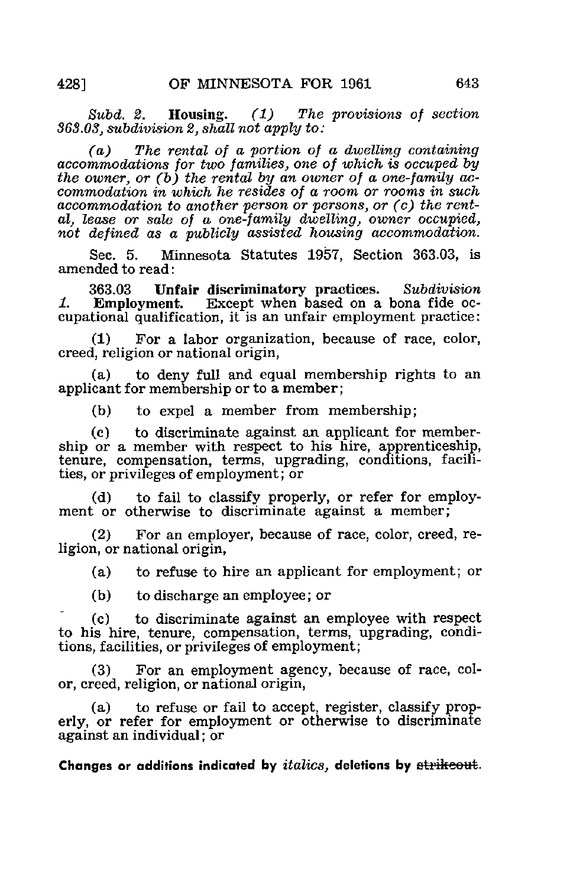Subd. 2. Housing. (1) The provisions of section 863.03, subdivision 2, shall not apply to:

(a) The rental of a portion of a dwelling containing accommodations for two families, one of which is occuped by the owner, or  $(b)$  the rental by an owner of a one-family accommodation in which he resides of a room or rooms in such accommodation to another person or persons, or (c) the rental, lease or sale of a one-family dwelling, owner occupied, not defined as a publicly assisted housing accommodation.

Sec. 5. Minnesota Statutes 1957, Section 363.03, is amended to read:

363.03 Unfair discriminatory practices. Subdivision<br>Employment. Except when based on a bona fide oc-1. Employment. Except when based on a bona fide occupational qualification, it is an unfair employment practice:

(1) For a labor organization, because of race, color, creed, religion or national origin,

(a) to deny full and equal membership rights to an applicant for membership or to a member;

(b) to expel a member from membership;

(c) to discriminate against an applicant for membership or a member with respect to his hire, apprenticeship, tenure, compensation, terms, upgrading, conditions, facilities, or privileges of employment; or

(d) to fail to classify properly, or refer for employment or otherwise to discriminate against a member;

(2) For an employer, because of race, color, creed, religion, or national origin,

(a) to refuse to hire an applicant for employment; or

(b) to discharge an employee; or

(c) to discriminate against an employee with respect to his hire, tenure, compensation, terms, upgrading, conditions, facilities, or privileges of employment;

(3) For an employment agency, because of race, color, creed, religion, or national origin,

(a) to refuse or fail to accept, register, classify properly, or refer for employment or otherwise to discriminate against an individual; or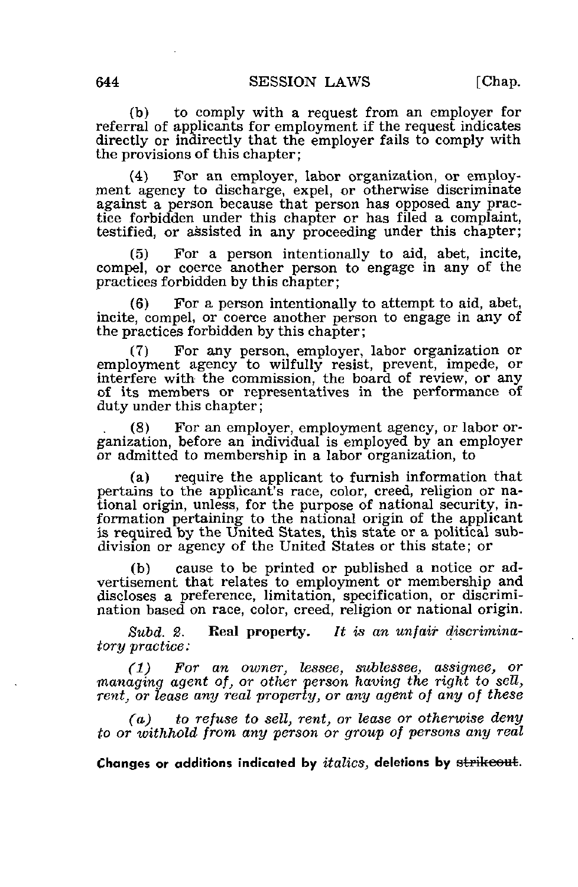(b) to comply with a request from an employer for referral of applicants for employment if the request indicates directly or indirectly that the employer fails to comply with the provisions of this chapter;

(4) For an employer, labor organization, or employment agency to discharge, expel, or otherwise discriminate against a person because that person has opposed any practice forbidden under this chapter or has filed a complaint, testified, or assisted in any proceeding under this chapter;

(5) For a person intentionally to aid, abet, incite, compel, or coerce another person to engage in any of the practices forbidden by this chapter;

(6) For a person intentionally to attempt to aid, abet, incite, compel, or coerce another person to engage in any of the practices forbidden by this chapter;

(7) For any person, employer, labor organization or employment agency to wilfully resist, prevent, impede, or interfere with the commission, the board of review, or any of its members or representatives in the performance of duty under this chapter;

(8) For an employer, employment agency, or labor organization, before an individual is employed by an employer or admitted to membership in a labor organization, to

(a) require the applicant to furnish information that pertains to the applicant's race, color, creed, religion or national origin, unless, for the purpose of national security, information pertaining to the national origin of the applicant is required by the United States, this state or a political subdivision or agency of the United States or this state; or

(b) cause to be printed or published a notice or advertisement that relates to employment or membership and discloses a preference, limitation, specification, or discrimination based on race, color, creed, religion or national origin.

Subd. 2. Real property. It is an unfair discriminatory practice:

(1) For an owner, lessee, sublessee, assignee, or •managing agent of, or other person having the right to sell, rent, or lease any real property, or any agent of any of these

(a) to refuse to sell, rent, or lease or otherwise deny to or withhold from any person or group of persons any real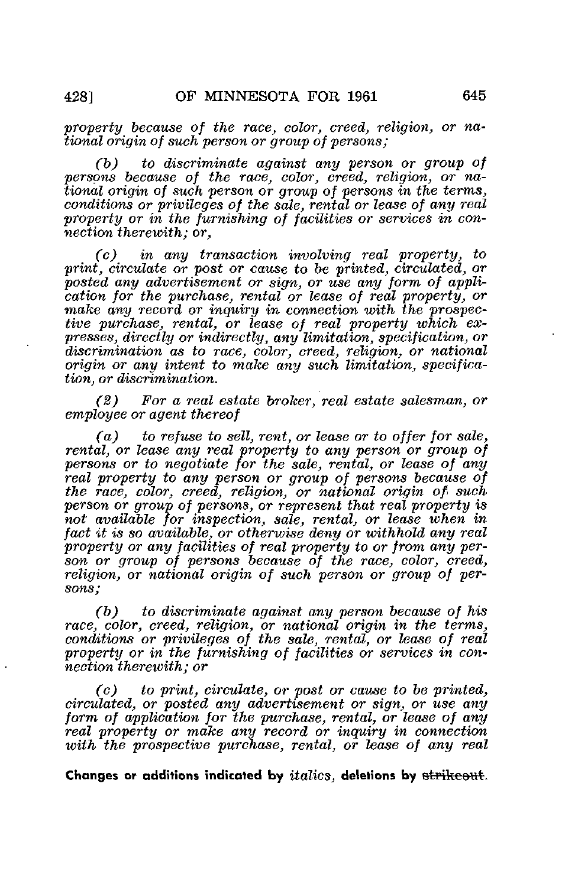property because of the race, color, creed, religion, or national origin of such person or group of persons;

 $(b)$  to discriminate against any person or group of persons because of the race, color, creed, religion, or national origin of such person or group of persons in the terms, conditions or privileges of the sale, rental or lease of any real property or in the furnishing of facilities or services in connection therewith; or,

(c) in any transaction involving real property, to print, circulate or post or cause to be printed, circulated, or posted any advertisement or sign, or use any form of application for the purchase, rental or lease of real property, or make any record or inquiry in connection with the prospective purchase, rental, or lease of real property which expresses, directly or indirectly, any limitation, specification, or discrimination as to race, color, creed, religion, or national origin or any intent to make any such limitation, specification, or discrimination.

(2) For a real estate broker, real estate salesman, or employee or agent thereof

 $(a)$  to refuse to sell, rent, or lease or to offer for sale, rental, or lease any real property to any person or group of persons or to negotiate for the sale, rental, or lease of any real property to any person or group of persons because of the race, color, creed, religion, or national origin of such person or group of persons, or represent that real property is not available for inspection, sale, rental, or lease when in fact it is so available, or otherwise deny or withhold any real property or any facilities of real property to or from any person or group of persons because of the race, color, creed, religion, or national origin of such person or group of persons;

(b) to discriminate against any person because of his race, color, creed, religion, or national origin in the terms, conditions or privileges of the sale, rental, or lease of real property or in the furnishing of facilities or services in connection therewith; or

(c) to print, circulate, or post or cause to be printed, circulated, or posted any advertisement or sign, or use any form of application for the purchase, rental, or lease of any real property or make any record or inquiry in connection with the prospective purchase, rental, or lease of any real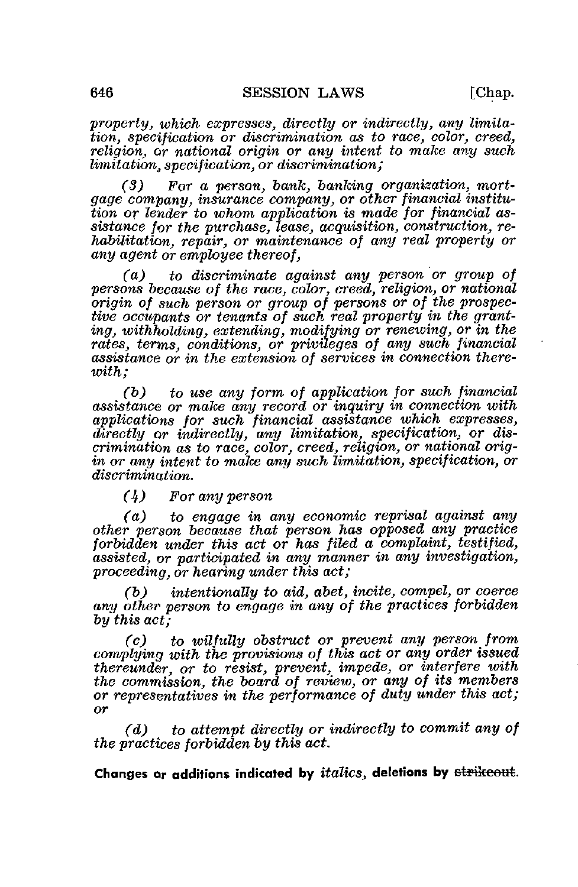property, which expresses, directly or indirectly, any limitation, specification or discrimination as to race, color, creed, religion, or national origin or any intent to make any such limitation; specification, or discrimination;

(3) For a person, bank, banking organization, mortgage company, insurance company, or other financial institution or lender to whom application is made for financial assistance for the purchase, lease, acquisition, construction, rehabilitation, repair, or maintenance of any real property or any agent or employee thereof,

(a) to discriminate against any person or group of persons because of the race, color, creed, religion, or national origin of such person or group of persons or of the prospective occupants or tenants of such real property in the granting, withholding, extending, modifying or renewing, or in the rates, terms, conditions, or privileges of any such financial assistance or in the extension of services in connection there $with$ :

(b) to use any form of application for such financial assistance or make any record or inquiry in connection with applications for such financial assistance which expresses, directly or indirectly, any limitation, specification, or discrimination as to race, color, creed, religion, or national origin or any intent to make any such limitation, specification, or discrimination.

(4) For any person

(a) to engage in any economic reprisal against any other person because that person has opposed any practice forbidden under this act or has filed a complaint, testified, assisted, or participated in any manner in any investigation, proceeding, or hearing under this act;

(b) intentionally to aid, abet, incite, compel, or coerce any other person to engage in any of the practices forbidden by this act;

(c) to wilfully obstruct or prevent any person from complying with the provisions of this act or any order issued thereunder, or to resist, prevent, impede, or interfere with the commission, the board of review, or any of its members or representatives in the performance of duty under this act; or

(d) to attempt directly or indirectly to commit any of the practices forbidden by this act.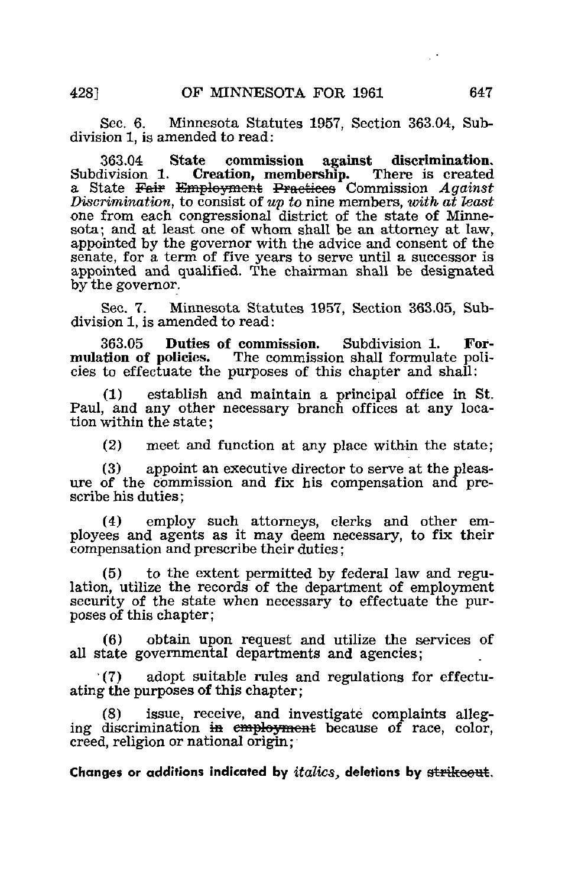Sec. 6. Minnesota Statutes 1957, Section 363.04, Subdivision 1, is amended to read:

363.04 State commission against discrimination. Creation, membership. a State Fair Employment Practices Commission  $Again$ Discrimination, to consist of up to nine members, with at least one from each congressional district of the state of Minnesota; and at least one of whom shall be an attorney at law, appointed by the governor with the advice and consent of the senate, for a term of five years to serve until a successor is appointed and qualified. The chairman shall be designated by the governor.

Sec. 7. Minnesota Statutes 1957, Section 363.05, Subdivision 1, is amended to read:

363.05 Duties of commission. Subdivision 1. Formulation of policies. The commission shall formulate policies to effectuate the purposes of this chapter and shall:

establish and maintain a principal office in St. Paul, and any other necessary branch offices at any location within the state;

(2) meet and function at any place within the state;

(3) appoint an executive director to serve at the pleasure of the commission and fix his compensation and prescribe his duties;

(4) employ such attorneys, clerks and other employees and agents as it may deem necessary, to fix their compensation and prescribe their duties;

(5) to the extent permitted by federal law and regulation, utilize the records of the department of employment security of the state when necessary to effectuate the purposes of this chapter;

(6) obtain upon request and utilize the services of all state governmental departments and agencies;

 $(7)$  adopt suitable rules and regulations for effectuating the purposes of this chapter;

(8) issue, receive, and investigate complaints alleging discrimination in employment because of race, color, creed, religion or national origin;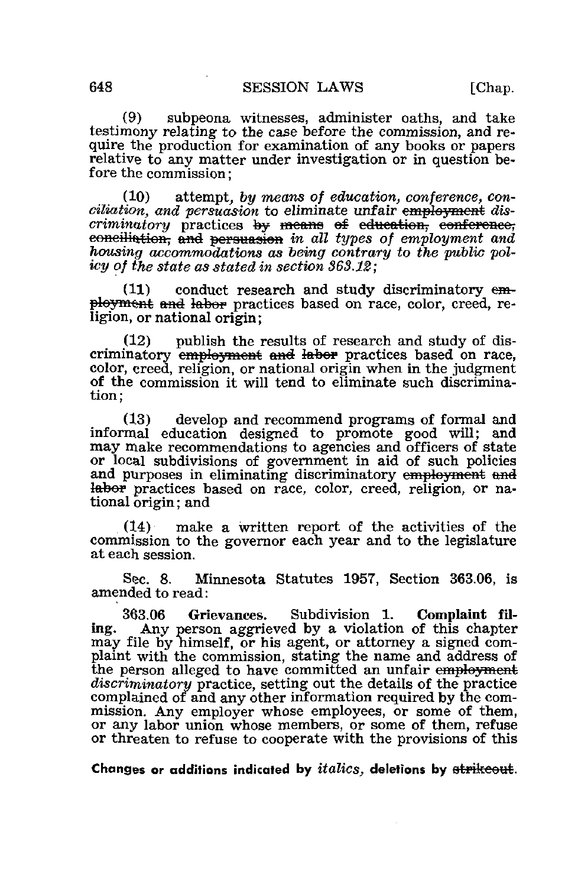(9) subpeona witnesses, administer oaths, and take testimony relating to the case before the commission, and require the production for examination of any books or papers relative to any matter under investigation or in question before the commission;

(10) attempt, by means of education, conference, conciliation, and persuasion to eliminate unfair employment discriminatory practices by means of education, conference, eonciliation, and persuasion in all types of employment and housing accommodations as being contrary to the public policy of the state as stated in section 363.12;

 $(11)$  conduct research and study discriminatory employment and labor practices based on race, color, creed, religion, or national origin;

(12) publish the results of research and study of discriminatory employment and labor practices based on race, color, creed, religion, or national origin when in the judgment of the commission it will tend to eliminate such discrimination;

(13) develop and recommend programs of formal and informal education designed to promote good will; and may make recommendations to agencies and officers of state or local subdivisions of government in aid of such policies and purposes in eliminating discriminatory employment and labor practices based on race, color, creed, religion, or national origin; and

(14) make a written report of the activities of the commission to the governor each year and to the legislature at each session.

Sec. 8. Minnesota Statutes 1957, Section 363.06, is amended to read:

363.06 Grievances. Subdivision 1. Complaint filing. Any person aggrieved by a violation of this chapter may file by himself, or his agent, or attorney a signed complaint with the commission, stating the name and address of the person alleged to have committed an unfair employment discriminatory practice, setting out the details of the practice complained of and any other information required by the commission. Any employer whose employees, or some of them, or any labor union whose members, or some of them, refuse or threaten to refuse to cooperate with the provisions of this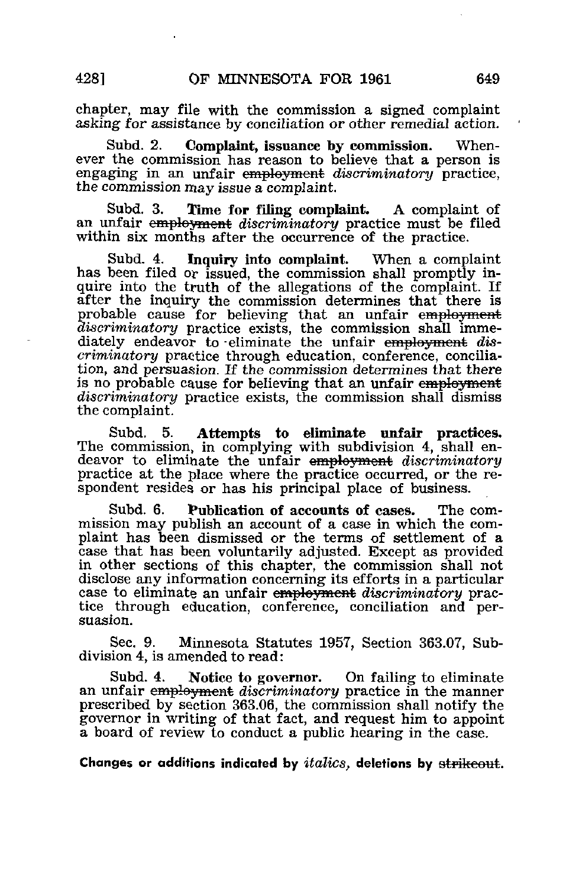chapter, may file with the commission a signed complaint asking for assistance by conciliation or other remedial action.

Subd. 2. Complaint, issuance by commission. Whenever the commission has reason to believe that a person is engaging in an unfair employment discriminatory practice, the commission may issue a complaint.

Subd. 3. Time for filing complaint. A complaint of an unfair employment discriminatory practice must be filed within six months after the occurrence of the practice.

Subd. 4. Inquiry into complaint. When a complaint has been filed or issued, the commission shall promptly inquire into the truth of the allegations of the complaint. If after the inquiry the commission determines that there is probable cause for believing that an unfair employment discriminatory practice exists, the commission shall immediately endeavor to eliminate the unfair employment discriminatory practice through education, conference, conciliation, and persuasion. If the commission determines that there is no probable cause for believing that an unfair employment discriminatory practice exists, the commission shall dismiss the complaint.

Subd. 5. Attempts to eliminate unfair practices. The commission, in complying with subdivision 4, shall endeavor to eliminate the unfair employment discriminatory practice at the place where the practice occurred, or the respondent resides or has his principal place of business.

Subd. 6. Publication of accounts of cases. The commission may publish an account of a case in which the complaint has been dismissed or the terms of settlement of a case that has been voluntarily adjusted. Except as provided in other sections of this chapter, the commission shall not disclose any information concerning its efforts in a particular case to eliminate an unfair employment discriminatory practice through education, conference, conciliation and persuasion.

Sec. 9. Minnesota Statutes 1957, Section 363.07, Subdivision 4, is amended to read:

Subd. 4. Notice to governor. On failing to eliminate an unfair employment discriminatory practice in the manner prescribed by section 363.06, the commission shall notify the governor in writing of that fact, and request him to appoint a board of review to conduct a public hearing in the case.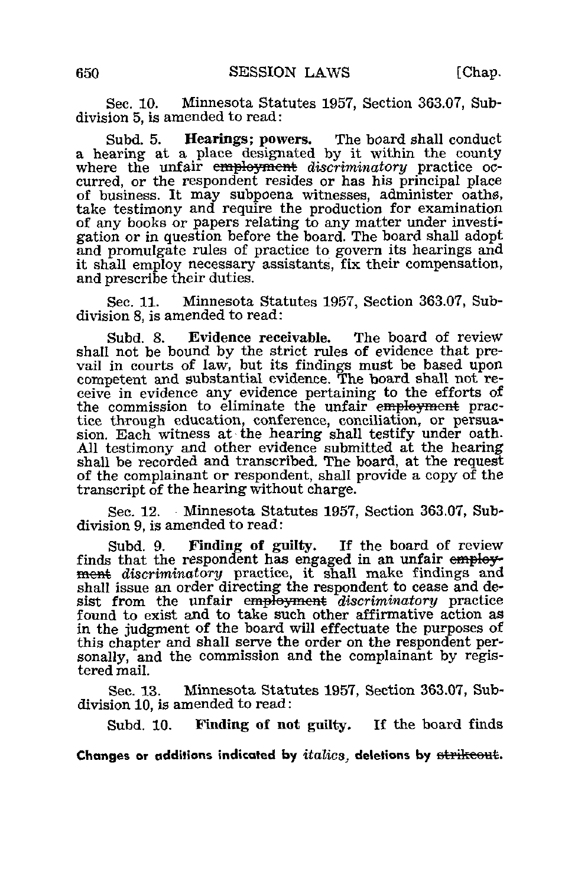Sec. 10. Minnesota Statutes 1957, Section 363.07, Subdivision 5, is amended to read:

Subd. 5. Hearings; powers. The board shall conduct a hearing at a place designated by it within the county where the unfair employment discriminatory practice occurred, or the respondent resides or has his principal place of business. It may subpoena witnesses, administer oaths, take testimony and require the production for examination of any books or papers relating to any matter under investigation or in question before the board. The board shall adopt and promulgate rules of practice to govern its hearings and it shall employ necessary assistants, fix their compensation, and prescribe their duties.

Sec. 11. Minnesota Statutes 1957, Section 363.07, Subdivision 8, is amended to read:

Subd. 8. Evidence receivable. The board of review shall not be bound by the strict rules of evidence that prevail in courts of law, but its findings must be based upon competent and substantial evidence. The board shall not receive in evidence any evidence pertaining to the efforts of the commission to eliminate the unfair employment practice through education, conference, conciliation, or persuasion. Each witness at the hearing shall testify under oath. All testimony and other evidence submitted at the hearing shall be recorded and transcribed. The board, at the request of the complainant or respondent, shall provide a copy of the transcript of the hearing without charge.

Sec. 12. Minnesota Statutes 1957, Section 363.07, Subdivision 9, is amended to read:

Subd. 9. Finding of guilty. If the board of review finds that the respondent has engaged in an unfair employment discriminatory practice, it shall make findings and shall issue an order directing the respondent to cease and desist from the unfair employment discriminatory practice found to exist and to take such other affirmative action as in the judgment of the board will effectuate the purposes of this chapter and shall serve the order on the respondent personally, and the commission and the complainant by registered mail.

Sec. 13. Minnesota Statutes 1957, Section 363.07, Subdivision 10, is amended to read:

Subd. 10. Finding of not guilty. If the board finds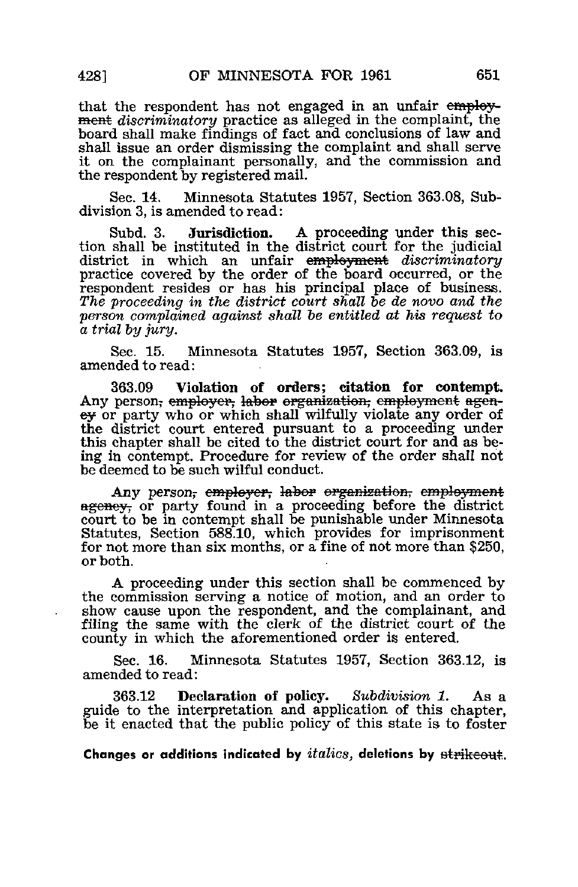that the respondent has not engaged in an unfair employment discriminatory practice as alleged in the complaint, the board shall make findings of fact and conclusions of law and shall issue an order dismissing the complaint and shall serve it on the complainant personally, and the commission and the respondent by registered mail.

Sec. 14. Minnesota Statutes 1957, Section 363.08, Subdivision 3, is amended to read:

Subd. 3. **Jurisdiction.** A proceeding under this section shall be instituted in the district court for the judicial district in which an unfair employment discriminatory practice covered by the order of the board occurred, or the respondent resides or has his principal place of business. The proceeding in the district court shall be de novo and the person complained against shall be entitled at his request to a trial by jury.

Sec. 15. Minnesota Statutes 1957, Section 363.09, is amended to read:

363.09 Violation of orders; citation for contempt. Any person, employer, labor organization, employment ageney or party who or which shall wilfully violate any order of the district court entered pursuant to a proceeding under this chapter shall be cited to the district court for and as being in contempt. Procedure for review of the order shall not be deemed to be such wilful conduct.

Any person, employer, labor organization, employment agency, or party found in a proceeding before the district court to be in contempt shall be punishable under Minnesota Statutes, Section 588.10, which provides for imprisonment for not more than six months, or a fine of not more than \$250, or both.

A proceeding under this section shall be commenced by the commission serving a notice of motion, and an order to show cause upon the respondent, and the complainant, and filing the same with the clerk of the district court of the county in which the aforementioned order is entered.

Sec. 16. Minnesota Statutes 1957, Section 363.12, is amended to read:

363.12 Declaration of policy. Subdivision 1. As a guide to the interpretation and application of this chapter, be it enacted that the public policy of this state is to foster

Changes or additions indicated by  $italics$ , deletions by  $st$   $p$   $t$   $t$   $t$  $t$  $t$  $t$  $t$  $t$  $t$  $t$ .